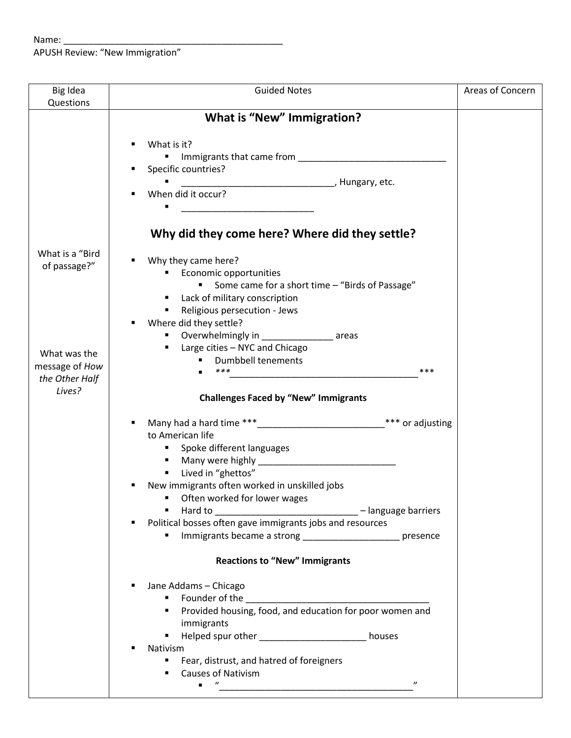| Big Idea        | <b>Guided Notes</b>                                                 | Areas of Concern |
|-----------------|---------------------------------------------------------------------|------------------|
| Questions       |                                                                     |                  |
|                 | <b>What is "New" Immigration?</b>                                   |                  |
|                 |                                                                     |                  |
|                 | What is it?                                                         |                  |
|                 | Specific countries?                                                 |                  |
|                 | $\blacksquare$                                                      |                  |
|                 | When did it occur?                                                  |                  |
|                 | <u> 1980 - Jan Barnett, fransk politik (d. 1980)</u>                |                  |
|                 |                                                                     |                  |
|                 | Why did they come here? Where did they settle?                      |                  |
|                 |                                                                     |                  |
| What is a "Bird | Why they came here?                                                 |                  |
| of passage?"    | Economic opportunities                                              |                  |
|                 | Some came for a short time - "Birds of Passage"<br>$\blacksquare$ . |                  |
|                 | Lack of military conscription                                       |                  |
|                 | Religious persecution - Jews                                        |                  |
|                 | Where did they settle?                                              |                  |
|                 | ■ Overwhelmingly in _______________________ areas                   |                  |
| What was the    | <b>E</b> Large cities - NYC and Chicago                             |                  |
| message of How  | <b>Dumbbell tenements</b>                                           |                  |
| the Other Half  | ***<br>***                                                          |                  |
| Lives?          |                                                                     |                  |
|                 | <b>Challenges Faced by "New" Immigrants</b>                         |                  |
|                 | *** or adjusting                                                    |                  |
|                 | to American life                                                    |                  |
|                 | • Spoke different languages                                         |                  |
|                 |                                                                     |                  |
|                 | " Lived in "ghettos"                                                |                  |
|                 | New immigrants often worked in unskilled jobs                       |                  |
|                 | ■ Often worked for lower wages                                      |                  |
|                 | Hard to __________________________________ - language barriers      |                  |
|                 | Political bosses often gave immigrants jobs and resources           |                  |
|                 | Immigrants became a strong ________________________ presence<br>٠   |                  |
|                 |                                                                     |                  |
|                 | <b>Reactions to "New" Immigrants</b>                                |                  |
|                 | Jane Addams - Chicago                                               |                  |
|                 |                                                                     |                  |
|                 |                                                                     |                  |
|                 | immigrants                                                          |                  |
|                 | Helped spur other ________________________ houses                   |                  |
|                 | Nativism                                                            |                  |
|                 | Fear, distrust, and hatred of foreigners                            |                  |
|                 | <b>Causes of Nativism</b>                                           |                  |
|                 | $\boldsymbol{u}$<br>$\boldsymbol{\eta}$<br>$\blacksquare$           |                  |
|                 |                                                                     |                  |